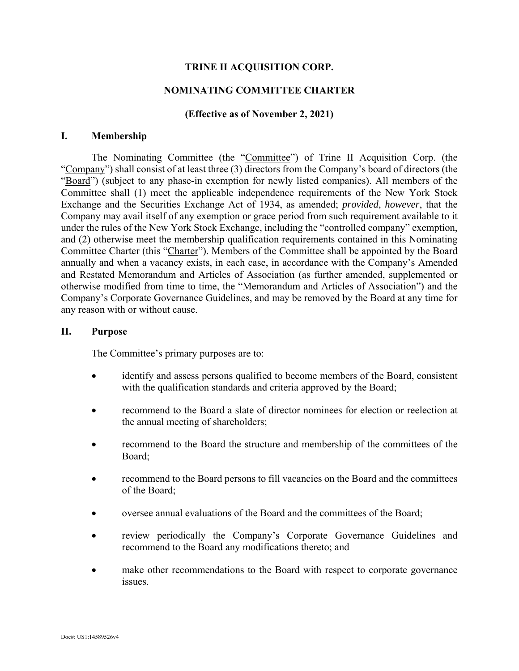# **TRINE II ACQUISITION CORP.**

## **NOMINATING COMMITTEE CHARTER**

### **(Effective as of November 2, 2021)**

#### **I. Membership**

The Nominating Committee (the "Committee") of Trine II Acquisition Corp. (the "Company") shall consist of at least three (3) directors from the Company's board of directors (the "Board") (subject to any phase-in exemption for newly listed companies). All members of the Committee shall (1) meet the applicable independence requirements of the New York Stock Exchange and the Securities Exchange Act of 1934, as amended; *provided*, *however*, that the Company may avail itself of any exemption or grace period from such requirement available to it under the rules of the New York Stock Exchange, including the "controlled company" exemption, and (2) otherwise meet the membership qualification requirements contained in this Nominating Committee Charter (this "Charter"). Members of the Committee shall be appointed by the Board annually and when a vacancy exists, in each case, in accordance with the Company's Amended and Restated Memorandum and Articles of Association (as further amended, supplemented or otherwise modified from time to time, the "Memorandum and Articles of Association") and the Company's Corporate Governance Guidelines, and may be removed by the Board at any time for any reason with or without cause.

#### **II. Purpose**

The Committee's primary purposes are to:

- identify and assess persons qualified to become members of the Board, consistent with the qualification standards and criteria approved by the Board;
- recommend to the Board a slate of director nominees for election or reelection at the annual meeting of shareholders;
- recommend to the Board the structure and membership of the committees of the Board;
- recommend to the Board persons to fill vacancies on the Board and the committees of the Board;
- oversee annual evaluations of the Board and the committees of the Board;
- review periodically the Company's Corporate Governance Guidelines and recommend to the Board any modifications thereto; and
- make other recommendations to the Board with respect to corporate governance issues.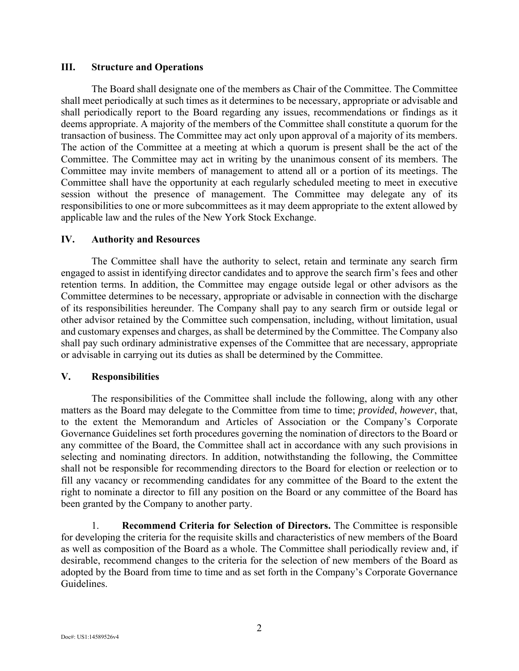### **III. Structure and Operations**

The Board shall designate one of the members as Chair of the Committee. The Committee shall meet periodically at such times as it determines to be necessary, appropriate or advisable and shall periodically report to the Board regarding any issues, recommendations or findings as it deems appropriate. A majority of the members of the Committee shall constitute a quorum for the transaction of business. The Committee may act only upon approval of a majority of its members. The action of the Committee at a meeting at which a quorum is present shall be the act of the Committee. The Committee may act in writing by the unanimous consent of its members. The Committee may invite members of management to attend all or a portion of its meetings. The Committee shall have the opportunity at each regularly scheduled meeting to meet in executive session without the presence of management. The Committee may delegate any of its responsibilities to one or more subcommittees as it may deem appropriate to the extent allowed by applicable law and the rules of the New York Stock Exchange.

## **IV. Authority and Resources**

The Committee shall have the authority to select, retain and terminate any search firm engaged to assist in identifying director candidates and to approve the search firm's fees and other retention terms. In addition, the Committee may engage outside legal or other advisors as the Committee determines to be necessary, appropriate or advisable in connection with the discharge of its responsibilities hereunder. The Company shall pay to any search firm or outside legal or other advisor retained by the Committee such compensation, including, without limitation, usual and customary expenses and charges, as shall be determined by the Committee. The Company also shall pay such ordinary administrative expenses of the Committee that are necessary, appropriate or advisable in carrying out its duties as shall be determined by the Committee.

## **V. Responsibilities**

The responsibilities of the Committee shall include the following, along with any other matters as the Board may delegate to the Committee from time to time; *provided*, *however*, that, to the extent the Memorandum and Articles of Association or the Company's Corporate Governance Guidelines set forth procedures governing the nomination of directors to the Board or any committee of the Board, the Committee shall act in accordance with any such provisions in selecting and nominating directors. In addition, notwithstanding the following, the Committee shall not be responsible for recommending directors to the Board for election or reelection or to fill any vacancy or recommending candidates for any committee of the Board to the extent the right to nominate a director to fill any position on the Board or any committee of the Board has been granted by the Company to another party.

1. **Recommend Criteria for Selection of Directors.** The Committee is responsible for developing the criteria for the requisite skills and characteristics of new members of the Board as well as composition of the Board as a whole. The Committee shall periodically review and, if desirable, recommend changes to the criteria for the selection of new members of the Board as adopted by the Board from time to time and as set forth in the Company's Corporate Governance Guidelines.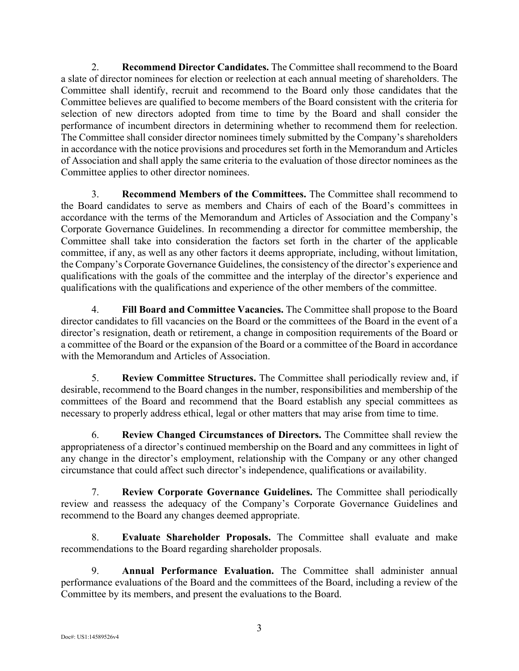2. **Recommend Director Candidates.** The Committee shall recommend to the Board a slate of director nominees for election or reelection at each annual meeting of shareholders. The Committee shall identify, recruit and recommend to the Board only those candidates that the Committee believes are qualified to become members of the Board consistent with the criteria for selection of new directors adopted from time to time by the Board and shall consider the performance of incumbent directors in determining whether to recommend them for reelection. The Committee shall consider director nominees timely submitted by the Company's shareholders in accordance with the notice provisions and procedures set forth in the Memorandum and Articles of Association and shall apply the same criteria to the evaluation of those director nominees as the Committee applies to other director nominees.

3. **Recommend Members of the Committees.** The Committee shall recommend to the Board candidates to serve as members and Chairs of each of the Board's committees in accordance with the terms of the Memorandum and Articles of Association and the Company's Corporate Governance Guidelines. In recommending a director for committee membership, the Committee shall take into consideration the factors set forth in the charter of the applicable committee, if any, as well as any other factors it deems appropriate, including, without limitation, the Company's Corporate Governance Guidelines, the consistency of the director's experience and qualifications with the goals of the committee and the interplay of the director's experience and qualifications with the qualifications and experience of the other members of the committee.

4. **Fill Board and Committee Vacancies.** The Committee shall propose to the Board director candidates to fill vacancies on the Board or the committees of the Board in the event of a director's resignation, death or retirement, a change in composition requirements of the Board or a committee of the Board or the expansion of the Board or a committee of the Board in accordance with the Memorandum and Articles of Association.

5. **Review Committee Structures.** The Committee shall periodically review and, if desirable, recommend to the Board changes in the number, responsibilities and membership of the committees of the Board and recommend that the Board establish any special committees as necessary to properly address ethical, legal or other matters that may arise from time to time.

6. **Review Changed Circumstances of Directors.** The Committee shall review the appropriateness of a director's continued membership on the Board and any committees in light of any change in the director's employment, relationship with the Company or any other changed circumstance that could affect such director's independence, qualifications or availability.

7. **Review Corporate Governance Guidelines.** The Committee shall periodically review and reassess the adequacy of the Company's Corporate Governance Guidelines and recommend to the Board any changes deemed appropriate.

8. **Evaluate Shareholder Proposals.** The Committee shall evaluate and make recommendations to the Board regarding shareholder proposals.

9. **Annual Performance Evaluation.** The Committee shall administer annual performance evaluations of the Board and the committees of the Board, including a review of the Committee by its members, and present the evaluations to the Board.